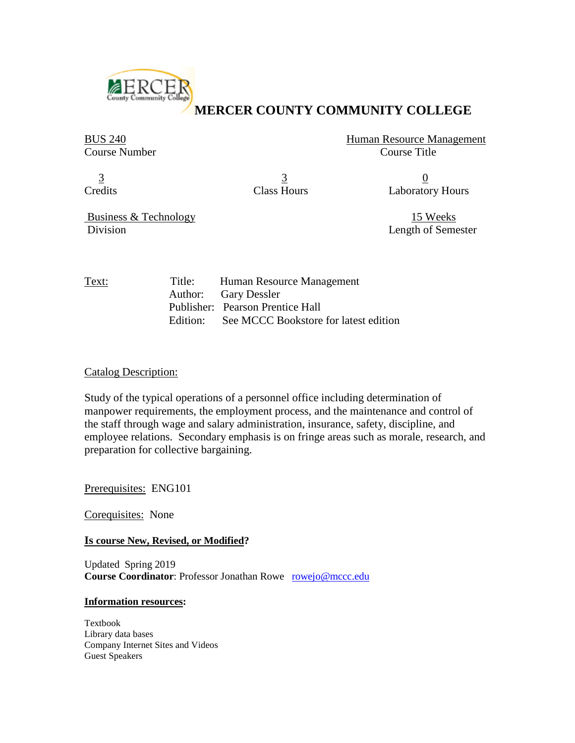

# **[M](http://www.mccc.edu/index.shtml)ERCER COUNTY COMMUNITY COLLEGE**

BUS 240 Human Resource Management Course Number Course Title

 $\frac{3}{2}$  0

Credits Class Hours Laboratory Hours

Business & Technology 15 Weeks Division Length of Semester

Text: Title: Human Resource Management Author: Gary Dessler Publisher: Pearson Prentice Hall Edition: See MCCC Bookstore for latest edition

# Catalog Description:

Study of the typical operations of a personnel office including determination of manpower requirements, the employment process, and the maintenance and control of the staff through wage and salary administration, insurance, safety, discipline, and employee relations. Secondary emphasis is on fringe areas such as morale, research, and preparation for collective bargaining.

Prerequisites: ENG101

Corequisites: None

# **Is course New, Revised, or Modified?**

Updated Spring 2019 **Course Coordinator:** Professor Jonathan Rowe [rowejo@mccc.edu](mailto:rowejo@mccc.edu)

# **Information resources:**

Textbook Library data bases Company Internet Sites and Videos Guest Speakers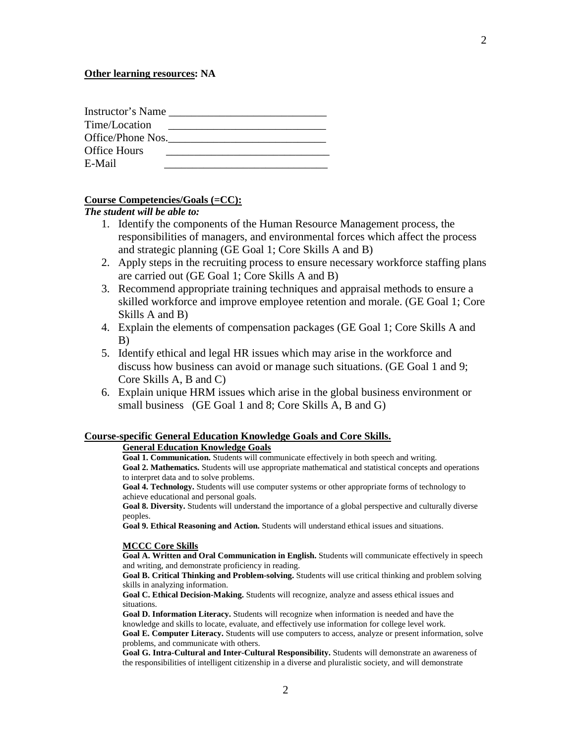| Instructor's Name   |  |
|---------------------|--|
| Time/Location       |  |
| Office/Phone Nos.   |  |
| <b>Office Hours</b> |  |
| E-Mail              |  |

#### **Course Competencies/Goals (=CC):**

*The student will be able to:*

- 1. Identify the components of the Human Resource Management process, the responsibilities of managers, and environmental forces which affect the process and strategic planning (GE Goal 1; Core Skills A and B)
- 2. Apply steps in the recruiting process to ensure necessary workforce staffing plans are carried out (GE Goal 1; Core Skills A and B)
- 3. Recommend appropriate training techniques and appraisal methods to ensure a skilled workforce and improve employee retention and morale. (GE Goal 1; Core Skills A and B)
- 4. Explain the elements of compensation packages (GE Goal 1; Core Skills A and B)
- 5. Identify ethical and legal HR issues which may arise in the workforce and discuss how business can avoid or manage such situations. (GE Goal 1 and 9; Core Skills A, B and C)
- 6. Explain unique HRM issues which arise in the global business environment or small business (GE Goal 1 and 8; Core Skills A, B and G)

#### **Course-specific General Education Knowledge Goals and Core Skills.**

#### **General Education Knowledge Goals**

**Goal 1. Communication.** Students will communicate effectively in both speech and writing. **Goal 2. Mathematics.** Students will use appropriate mathematical and statistical concepts and operations

to interpret data and to solve problems.

**Goal 4. Technology.** Students will use computer systems or other appropriate forms of technology to achieve educational and personal goals.

**Goal 8. Diversity.** Students will understand the importance of a global perspective and culturally diverse peoples.

**Goal 9. Ethical Reasoning and Action.** Students will understand ethical issues and situations.

#### **MCCC Core Skills**

**Goal A. Written and Oral Communication in English.** Students will communicate effectively in speech and writing, and demonstrate proficiency in reading.

**Goal B. Critical Thinking and Problem-solving.** Students will use critical thinking and problem solving skills in analyzing information.

**Goal C. Ethical Decision-Making.** Students will recognize, analyze and assess ethical issues and situations.

**Goal D. Information Literacy.** Students will recognize when information is needed and have the knowledge and skills to locate, evaluate, and effectively use information for college level work. **Goal E. Computer Literacy.** Students will use computers to access, analyze or present information, solve

problems, and communicate with others.

**Goal G. Intra-Cultural and Inter-Cultural Responsibility.** Students will demonstrate an awareness of the responsibilities of intelligent citizenship in a diverse and pluralistic society, and will demonstrate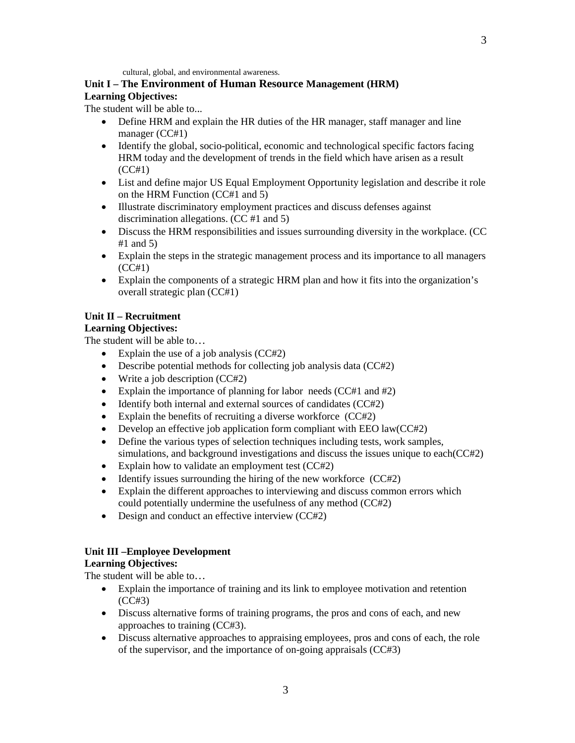cultural, global, and environmental awareness.

#### **Unit I – The Environment of Human Resource Management (HRM) Learning Objectives:**

The student will be able to...

- Define HRM and explain the HR duties of the HR manager, staff manager and line manager (CC#1)
- Identify the global, socio-political, economic and technological specific factors facing HRM today and the development of trends in the field which have arisen as a result (CC#1)
- List and define major US Equal Employment Opportunity legislation and describe it role on the HRM Function (CC#1 and 5)
- Illustrate discriminatory employment practices and discuss defenses against discrimination allegations. (CC #1 and 5)
- Discuss the HRM responsibilities and issues surrounding diversity in the workplace. (CC  $#1$  and 5)
- Explain the steps in the strategic management process and its importance to all managers (CC#1)
- Explain the components of a strategic HRM plan and how it fits into the organization's overall strategic plan (CC#1)

# **Unit II – Recruitment**

# **Learning Objectives:**

The student will be able to…

- Explain the use of a job analysis (CC#2)
- Describe potential methods for collecting job analysis data (CC#2)
- Write a job description (CC#2)
- Explain the importance of planning for labor needs (CC#1 and #2)
- Identify both internal and external sources of candidates (CC#2)
- Explain the benefits of recruiting a diverse workforce (CC#2)
- Develop an effective job application form compliant with EEO law(CC#2)
- Define the various types of selection techniques including tests, work samples, simulations, and background investigations and discuss the issues unique to each(CC#2)
- Explain how to validate an employment test (CC#2)
- Identify issues surrounding the hiring of the new workforce (CC#2)
- Explain the different approaches to interviewing and discuss common errors which could potentially undermine the usefulness of any method (CC#2)
- Design and conduct an effective interview (CC#2)

# **Unit III –Employee Development**

# **Learning Objectives:**

The student will be able to...

- Explain the importance of training and its link to employee motivation and retention (CC#3)
- Discuss alternative forms of training programs, the pros and cons of each, and new approaches to training (CC#3).
- Discuss alternative approaches to appraising employees, pros and cons of each, the role of the supervisor, and the importance of on-going appraisals (CC#3)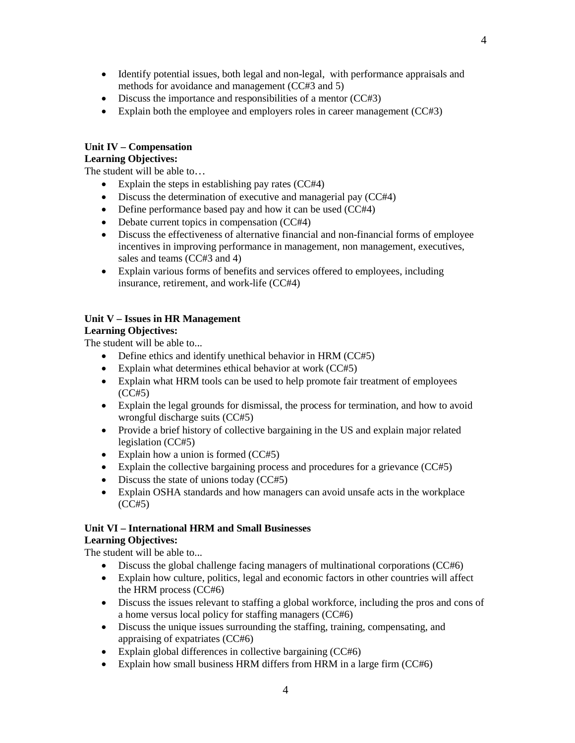- Identify potential issues, both legal and non-legal, with performance appraisals and
- methods for avoidance and management (CC#3 and 5) • Discuss the importance and responsibilities of a mentor (CC#3)
- Explain both the employee and employers roles in career management (CC#3)

# **Unit IV – Compensation**

# **Learning Objectives:**

The student will be able to…

- Explain the steps in establishing pay rates (CC#4)
- Discuss the determination of executive and managerial pay (CC#4)
- Define performance based pay and how it can be used (CC#4)
- Debate current topics in compensation (CC#4)
- Discuss the effectiveness of alternative financial and non-financial forms of employee incentives in improving performance in management, non management, executives, sales and teams (CC#3 and 4)
- Explain various forms of benefits and services offered to employees, including insurance, retirement, and work-life (CC#4)

# **Unit V – Issues in HR Management**

# **Learning Objectives:**

The student will be able to...

- Define ethics and identify unethical behavior in HRM (CC#5)
- Explain what determines ethical behavior at work (CC#5)
- Explain what HRM tools can be used to help promote fair treatment of employees (CC#5)
- Explain the legal grounds for dismissal, the process for termination, and how to avoid wrongful discharge suits (CC#5)
- Provide a brief history of collective bargaining in the US and explain major related legislation (CC#5)
- Explain how a union is formed (CC#5)
- Explain the collective bargaining process and procedures for a grievance (CC#5)
- Discuss the state of unions today (CC#5)
- Explain OSHA standards and how managers can avoid unsafe acts in the workplace (CC#5)

#### **Unit VI – International HRM and Small Businesses Learning Objectives:**

The student will be able to...

- Discuss the global challenge facing managers of multinational corporations (CC#6)
- Explain how culture, politics, legal and economic factors in other countries will affect the HRM process (CC#6)
- Discuss the issues relevant to staffing a global workforce, including the pros and cons of a home versus local policy for staffing managers (CC#6)
- Discuss the unique issues surrounding the staffing, training, compensating, and appraising of expatriates (CC#6)
- Explain global differences in collective bargaining (CC#6)
- Explain how small business HRM differs from HRM in a large firm (CC#6)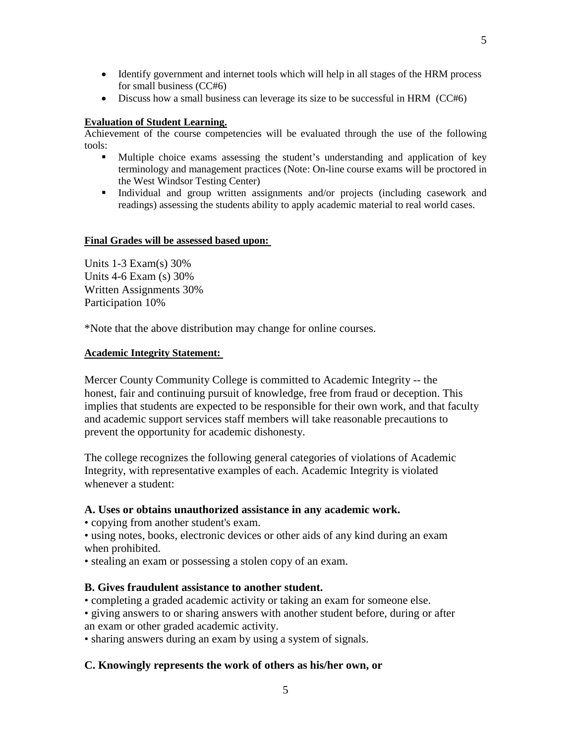- Identify government and internet tools which will help in all stages of the HRM process for small business (CC#6)
- Discuss how a small business can leverage its size to be successful in HRM (CC#6)

# **Evaluation of Student Learning.**

Achievement of the course competencies will be evaluated through the use of the following tools:

- Multiple choice exams assessing the student's understanding and application of key terminology and management practices (Note: On-line course exams will be proctored in the West Windsor Testing Center)
- Individual and group written assignments and/or projects (including casework and readings) assessing the students ability to apply academic material to real world cases.

# **Final Grades will be assessed based upon:**

Units 1-3 Exam(s) 30% Units 4-6 Exam (s) 30% Written Assignments 30% Participation 10%

\*Note that the above distribution may change for online courses.

# **Academic Integrity Statement:**

Mercer County Community College is committed to Academic Integrity -- the honest, fair and continuing pursuit of knowledge, free from fraud or deception. This implies that students are expected to be responsible for their own work, and that faculty and academic support services staff members will take reasonable precautions to prevent the opportunity for academic dishonesty.

The college recognizes the following general categories of violations of Academic Integrity, with representative examples of each. Academic Integrity is violated whenever a student:

# **A. Uses or obtains unauthorized assistance in any academic work.**

• copying from another student's exam.

• using notes, books, electronic devices or other aids of any kind during an exam when prohibited.

• stealing an exam or possessing a stolen copy of an exam.

# **B. Gives fraudulent assistance to another student.**

• completing a graded academic activity or taking an exam for someone else.

• giving answers to or sharing answers with another student before, during or after an exam or other graded academic activity.

• sharing answers during an exam by using a system of signals.

# **C. Knowingly represents the work of others as his/her own, or**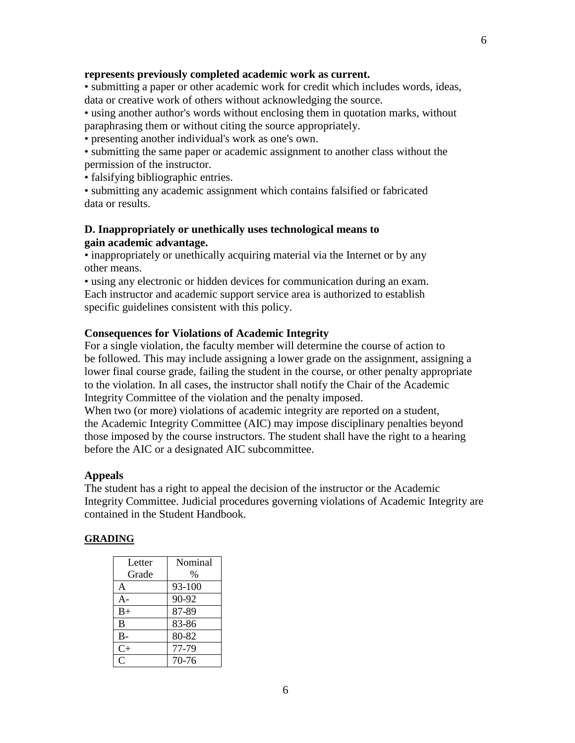#### **represents previously completed academic work as current.**

• submitting a paper or other academic work for credit which includes words, ideas, data or creative work of others without acknowledging the source.

• using another author's words without enclosing them in quotation marks, without paraphrasing them or without citing the source appropriately.

• presenting another individual's work as one's own.

• submitting the same paper or academic assignment to another class without the permission of the instructor.

• falsifying bibliographic entries.

• submitting any academic assignment which contains falsified or fabricated data or results.

# **D. Inappropriately or unethically uses technological means to gain academic advantage.**

• inappropriately or unethically acquiring material via the Internet or by any other means.

• using any electronic or hidden devices for communication during an exam. Each instructor and academic support service area is authorized to establish specific guidelines consistent with this policy.

#### **Consequences for Violations of Academic Integrity**

For a single violation, the faculty member will determine the course of action to be followed. This may include assigning a lower grade on the assignment, assigning a lower final course grade, failing the student in the course, or other penalty appropriate to the violation. In all cases, the instructor shall notify the Chair of the Academic Integrity Committee of the violation and the penalty imposed.

When two (or more) violations of academic integrity are reported on a student, the Academic Integrity Committee (AIC) may impose disciplinary penalties beyond those imposed by the course instructors. The student shall have the right to a hearing before the AIC or a designated AIC subcommittee.

#### **Appeals**

The student has a right to appeal the decision of the instructor or the Academic Integrity Committee. Judicial procedures governing violations of Academic Integrity are contained in the Student Handbook.

# **GRADING**

| Letter<br>Grade | Nominal<br>$\%$ |
|-----------------|-----------------|
| A               | 93-100          |
| $A -$           | 90-92           |
| $B+$            | 87-89           |
| B               | 83-86           |
| $B -$           | 80-82           |
| $C+$            | 77-79           |
| Ċ               | 70-76           |